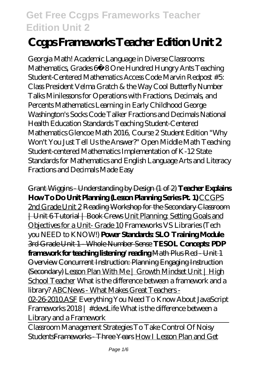# **Ccgps Frameworks Teacher Edition Unit 2**

Georgia Math! Academic Language in Diverse Classrooms: Mathematics, Grades 6 80ne Hundred Hungry Ants Teaching Student-Centered Mathematics Access Code Marvin Redpost #5: Class President Velma Gratch & the Way Cool Butterfly Number Talks Minilessons for Operations with Fractions, Decimals, and Percents Mathematics Learning in Early Childhood George Washington's Socks Code Talker Fractions and Decimals National Health Education Standards Teaching Student-Centered Mathematics Glencoe Math 2016, Course 2 Student Edition "Why Won't You Just Tell Us the Answer?" Open Middle Math Teaching Student-centered Mathematics Implementation of K-12 State Standards for Mathematics and English Language Arts and Literacy Fractions and Decimals Made Easy

Grant Wiggins - Understanding by Design (1 of 2) **Teacher Explains How To Do Unit Planning (Lesson Planning Series Pt. 1)** CCGPS 2nd Grade Unit 2 Reading Workshop for the Secondary Classroom | Unit 6 Tutorial | Book Crews Unit Planning: Setting Goals and Objectives for a Unit- Grade 10 Frameworks VS Libraries (Tech you NEED to KNOW!) **Power Standards: SLO Training Module** 3rd Grade Unit 1 - Whole Number Sense **TESOL Concepts: PDP framework for teaching listening/reading** Math Plus Red - Unit 1 Overview Concurrent Instruction: Planning Engaging Instruction (Secondary) Lesson Plan With Me | Growth Mindset Unit | High School Teacher What is the difference between a framework and a library? ABCNews - What Makes Great Teachers -

02-26-2010.ASF *Everything You Need To Know About JavaScript Frameworks 2018 | #devsLife What is the difference between a Library and a Framework*

Classroom Management Strategies To Take Control Of Noisy StudentsFrameworks - Three Years How I Lesson Plan and Get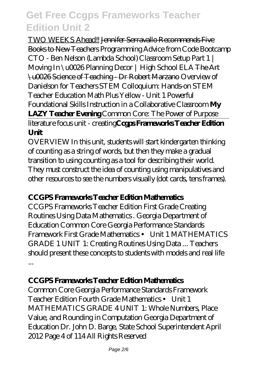TWO WEEKS Ahead!! Jennifer Serravallo Recommends Five Books to New Teachers *Programming Advice from Code Bootcamp CTO - Ben Nelson (Lambda School) Classroom Setup Part 1 | Moving In \u0026 Planning Decor | High School ELA* The Art \u0026 Science of Teaching - Dr Robert Marzano *Overview of Danielson for Teachers STEM Colloquium: Hands-on STEM Teacher Education Math Plus Yellow - Unit 1 Powerful Foundational Skills Instruction in a Collaborative Classroom* **My LAZY Teacher Evening** *Common Core: The Power of Purpose* literature focus unit - creating**Ccgps Frameworks Teacher Edition Unit**

OVERVIEW In this unit, students will start kindergarten thinking of counting as a string of words, but then they make a gradual transition to using counting as a tool for describing their world. They must construct the idea of counting using manipulatives and other resources to see the numbers visually (dot cards, tens frames).

#### **CCGPS Frameworks Teacher Edition Mathematics**

CCGPS Frameworks Teacher Edition First Grade Creating Routines Using Data Mathematics . Georgia Department of Education Common Core Georgia Performance Standards Framework First Grade Mathematics • Unit 1 MATHEMATICS GRADE 1 UNIT 1: Creating Routines Using Data ... Teachers should present these concepts to students with models and real life ...

#### **CCGPS Frameworks Teacher Edition Mathematics**

Common Core Georgia Performance Standards Framework Teacher Edition Fourth Grade Mathematics • Unit 1 MATHEMATICS GRADE 4 UNIT 1: Whole Numbers, Place Value, and Rounding in Computation Georgia Department of Education Dr. John D. Barge, State School Superintendent April 2012 Page 4 of 114 All Rights Reserved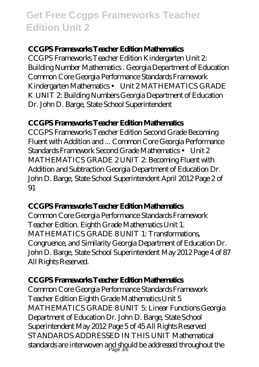### **CCGPS Frameworks Teacher Edition Mathematics**

CCGPS Frameworks Teacher Edition Kindergarten Unit 2: Building Number Mathematics . Georgia Department of Education Common Core Georgia Performance Standards Framework Kindergarten Mathematics • Unit 2 MATHEMATICS GRADE K UNIT 2: Building Numbers Georgia Department of Education Dr. John D. Barge, State School Superintendent

#### **CCGPS Frameworks Teacher Edition Mathematics**

CCGPS Frameworks Teacher Edition Second Grade Becoming Fluent with Addition and ... Common Core Georgia Performance Standards Framework Second Grade Mathematics • Unit 2 MATHEMATICS GRADE 2 UNIT 2: Becoming Fluent with Addition and Subtraction Georgia Department of Education Dr. John D. Barge, State School Superintendent April 2012 Page 2 of 91

#### **CCGPS Frameworks Teacher Edition Mathematics**

Common Core Georgia Performance Standards Framework Teacher Edition. Eighth Grade Mathematics Unit 1. MATHEMATICS GRADE 8 UNIT 1: Transformations Congruence, and Similarity Georgia Department of Education Dr. John D. Barge, State School Superintendent May 2012 Page 4 of 87 All Rights Reserved.

#### **CCGPS Frameworks Teacher Edition Mathematics**

Common Core Georgia Performance Standards Framework Teacher Edition Eighth Grade Mathematics Unit 5 MATHEMATICS GRADE 8 UNIT 5: Linear Functions Georgia Department of Education Dr. John D. Barge, State School Superintendent May 2012 Page 5 of 45 All Rights Reserved STANDARDS ADDRESSED IN THIS UNIT Mathematical standards are interwoven and should be addressed throughout the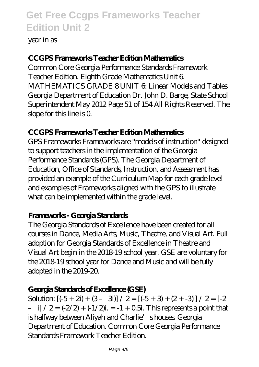#### year in as

# **CCGPS Frameworks Teacher Edition Mathematics**

Common Core Georgia Performance Standards Framework Teacher Edition. Eighth Grade Mathematics Unit 6. MATHEMATICS GRADE 8 UNIT 6: Linear Models and Tables Georgia Department of Education Dr. John D. Barge, State School Superintendent May 2012 Page 51 of 154 All Rights Reserved. The slope for this line is  $0$ .

### **CCGPS Frameworks Teacher Edition Mathematics**

GPS Frameworks Frameworks are "models of instruction" designed to support teachers in the implementation of the Georgia Performance Standards (GPS). The Georgia Department of Education, Office of Standards, Instruction, and Assessment has provided an example of the Curriculum Map for each grade level and examples of Frameworks aligned with the GPS to illustrate what can be implemented within the grade level.

## **Frameworks - Georgia Standards**

The Georgia Standards of Excellence have been created for all courses in Dance, Media Arts, Music, Theatre, and Visual Art. Full adoption for Georgia Standards of Excellence in Theatre and Visual Art begin in the 2018-19 school year. GSE are voluntary for the 2018-19 school year for Dance and Music and will be fully adopted in the 2019-20.

## **Georgia Standards of Excellence (GSE)**

Solution:  $[(-5 + 2i) + (3 - 3i)] / 2 = [(-5 + 3) + (2 + 3i)] / 2 = [-2$ – i]  $/ 2 = (-2/2) + (-1/2)i = -1 + 0.5i$ . This represents a point that is halfway between Aliyah and Charlie's houses. Georgia Department of Education. Common Core Georgia Performance Standards Framework Teacher Edition.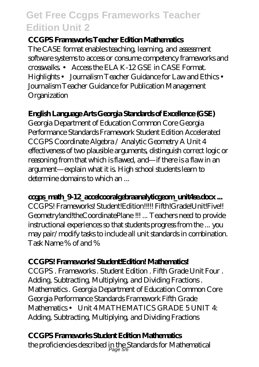### **CCGPS Frameworks Teacher Edition Mathematics**

The CASE format enables teaching, learning, and assessment software systems to access or consume competency frameworks and crosswalks. • Access the ELA K-12 GSE in CASE Format. Highlights • Journalism Teacher Guidance for Law and Ethics • Journalism Teacher Guidance for Publication Management **Organization** 

### **English Language Arts Georgia Standards of Excellence (GSE)**

Georgia Department of Education Common Core Georgia Performance Standards Framework Student Edition Accelerated CCGPS Coordinate Algebra / Analytic Geometry A Unit 4 effectiveness of two plausible arguments, distinguish correct logic or reasoning from that which is flawed, and—if there is a flaw in an argument—explain what it is. High school students learn to determine domains to which an ...

## **ccgps\_math\_9-12\_accelcooralgebraanalyticgeom\_unit4se.docx ...**

CCGPS! Frameworks! Student!Edition!!!!! Fifth!Grade!Unit!Five!! Geometry!and!theCoordinatePlane !!! ... Teachers need to provide instructional experiences so that students progress from the ... you may pair/modify tasks to include all unit standards in combination. Task Name % of and %

## **CCGPS! Frameworks! Student!Edition! Mathematics!**

CCGPS . Frameworks . Student Edition . Fifth Grade Unit Four . Adding, Subtracting, Multiplying, and Dividing Fractions . Mathematics . Georgia Department of Education Common Core Georgia Performance Standards Framework Fifth Grade Mathematics • Unit 4 MATHEMATICS GRADE 5 UNIT 4: Adding, Subtracting, Multiplying, and Dividing Fractions

## **CCGPS Frameworks Student Edition Mathematics**

the proficiencies described in the Standards for Mathematical Page 5/6